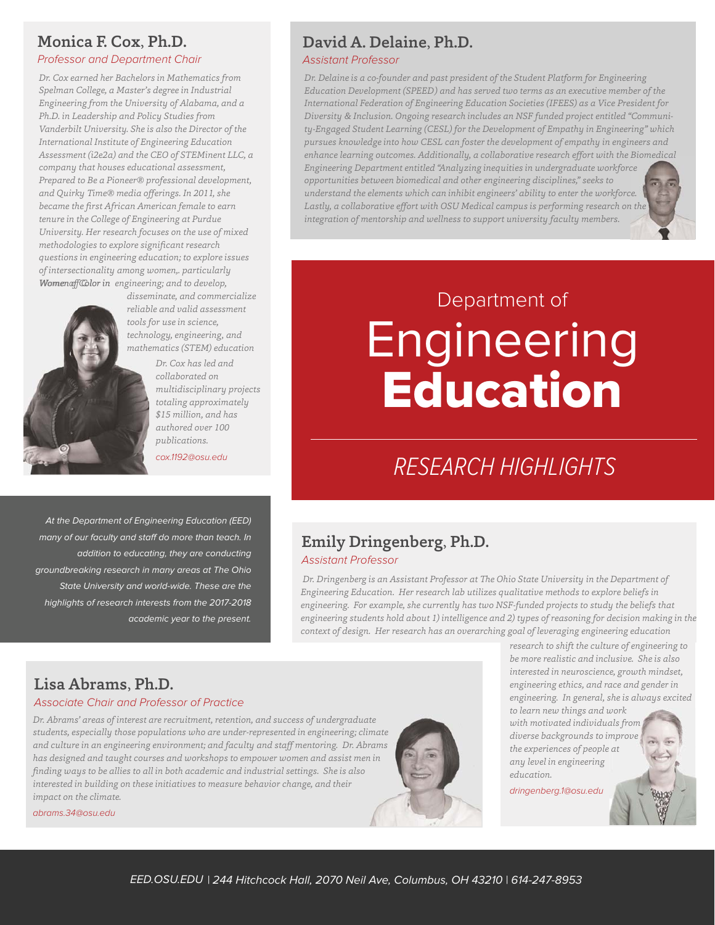#### Monica F. Cox, Ph.D.

#### *Professor and Department Chair*

*WomenaffColor in engineering; and to develop, Dr. Cox earned her Bachelors in Mathematics from Spelman College, a Master's degree in Industrial Engineering from the University of Alabama, and a Ph.D. in Leadership and Policy Studies from Vanderbilt University. She is also the Director of the International Institute of Engineering Education Assessment (i2e2a) and the CEO of STEMinent LLC, a company that houses educational assessment, Prepared to Be a Pioneer® professional development, and Quirky Time® media offerings. In 2011, she became the first African American female to earn tenure in the College of Engineering at Purdue University. Her research focuses on the use of mixed methodologies to explore significant research questions in engineering education; to explore issues of intersectionality among women,. particularly* 



*disseminate, and commercialize dissem reliable and valid assessment reliab tools for use in science, tools f technology, engineering, and techno mathematics (STEM) education mathe*

> *Dr. Cox has led and collaborated on multidisciplinary projects totaling approximately \$15 million, and has authored over 100 publications.*

*Dr. Abrams' areas of interest are recruitment, retention, and success of undergraduate students, especially those populations who are under-represented in engineering; climate and culture in an engineering environment; and faculty and staff mentoring. Dr. Abrams has designed and taught courses and workshops to empower women and assist men in finding ways to be allies to all in both academic and industrial settings. She is also interested in building on these initiatives to measure behavior change, and their* 

*cox.1192@osu.edu*

At the Department of Engineering Education (EED) many of our faculty and staff do more than teach. In addition to educating, they are conducting groundbreaking research in many areas at The Ohio State University and world-wide. These are the highlights of research interests from the 2017-2018 academic year to the present.

*Associate Chair and Professor of Practice*

#### David A. Delaine, Ph.D.

#### *Assistant Professor*

*Dr. Delaine is a co-founder and past president of the Student Platform for Engineering intersections of engineering, education, and society. He is currently serving his second term as an Education Development (SPEED) and has served two terms as an executive member of the executive member of the International Federation of Engineering Education Societies International Federation of Engineering Education Societies (IFEES) as a Vice President for (IFEES) as a Vice President, representing Diversity and Inclusion. His research laboratory, The Diversity & Inclusion. Ongoing research includes an NSF funded project entitled "Communi-Collaborative to Change Engineering Education, aims to significantly broaden ty-Engaged Student Learning (CESL) for the Development of Empathy in Engineering" which the global pipeline of STEM talent and to unify the needs of the engineering pursues knowledge into how CESL can foster the development of empathy in engineers and education stakeholders in order for engineering education to more enhance learning outcomes. Additionally, a collaborative research effort with the Biomedical accurately reflect societal needs. Diversity and inclusion, university/community Engineering Department entitled "Analyzing inequities in undergraduate workforce engagement, educational research methods, opportunities between biomedical and other engineering disciplines," seeks to understand the elements which can inhibit engineers' ability to enter the workforce. his academic endeavors. Lastly, a collaborative effort with OSU Medical campus is performing research on the delaine.4@osu.edu integration of mentorship and wellness to support university faculty members.*

# Department of **Education**

## RESEARCH HIGHLIGHTS

#### Emily Dringenberg, Ph.D. *Assistant Professor*

 *Dr. Dringenberg is an Assistant Professor at The Ohio State University in the Department of Engineering Education. Her research lab utilizes qualitative methods to explore beliefs in engineering. For example, she currently has two NSF-funded projects to study the beliefs that engineering students hold about 1) intelligence and 2) types of reasoning for decision making in the context of design. Her research has an overarching goal of leveraging engineering education* 

> *research to shift the culture of engineering to be more realistic and inclusive. She is also interested in neuroscience, growth mindset, engineering ethics, and race and gender in engineering. In general, she is always excited*

> > **Rotor**

*to learn new things and work with motivated individuals from diverse backgrounds to improve the experiences of people at any level in engineering education.*

*dringenberg.1@osu.edu*

### *impact on the climate.*

Lisa Abrams, Ph.D.

*abrams.34@osu.edu*